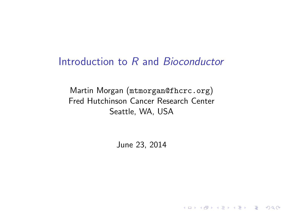### Introduction to R and Bioconductor

Martin Morgan (<mtmorgan@fhcrc.org>) Fred Hutchinson Cancer Research Center Seattle, WA, USA

June 23, 2014

K ロ ▶ K 個 ▶ K 할 ▶ K 할 ▶ 이 할 → 9 Q Q →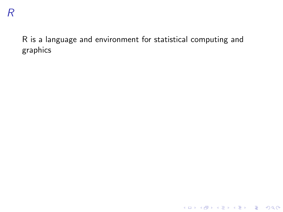K ロ ▶ K @ ▶ K 할 ▶ K 할 ▶ . 할 . ⊙ Q Q ^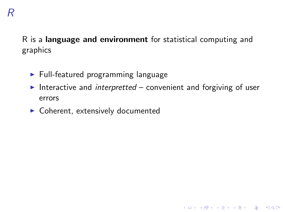- $\blacktriangleright$  Full-featured programming language
- Interactive and interpretted convenient and forgiving of user errors

K ロ ▶ K 個 ▶ K 할 ▶ K 할 ▶ 이 할 → 9 Q Q →

 $\triangleright$  Coherent, extensively documented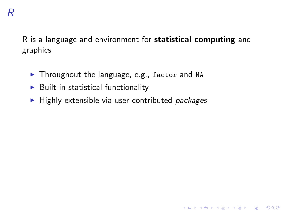- $\blacktriangleright$  Throughout the language, e.g., factor and NA
- $\triangleright$  Built-in statistical functionality
- $\blacktriangleright$  Highly extensible via user-contributed packages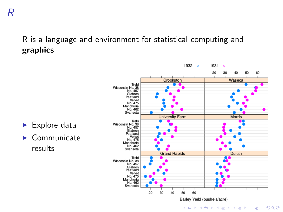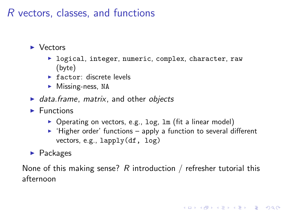### R vectors, classes, and functions

#### $\blacktriangleright$  Vectors

- $\blacktriangleright$  logical, integer, numeric, complex, character, raw (byte)
- $\blacktriangleright$  factor: discrete levels
- $\triangleright$  Missing-ness, NA
- $\blacktriangleright$  data.frame, matrix, and other objects
- $\blacktriangleright$  Functions
	- $\triangleright$  Operating on vectors, e.g., log, lm (fit a linear model)
	- $\blacktriangleright$  'Higher order' functions apply a function to several different vectors, e.g., lapply(df, log)

KELK KØLK VELKEN EL 1990

 $\blacktriangleright$  Packages

None of this making sense? R introduction / refresher tutorial this afternoon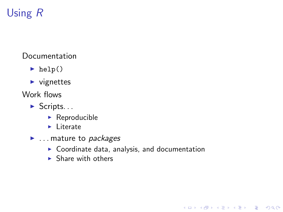# Using R

#### Documentation

- $\blacktriangleright$  help()
- $\blacktriangleright$  vignettes
- Work flows
	- $\blacktriangleright$  Scripts...
		- $\blacktriangleright$  Reproducible
		- $\blacktriangleright$  Literate
	- $\blacktriangleright$  ... mature to *packages* 
		- $\blacktriangleright$  Coordinate data, analysis, and documentation

K ロ ▶ K 個 ▶ K 할 ▶ K 할 ▶ 이 할 → 9 Q Q →

 $\blacktriangleright$  Share with others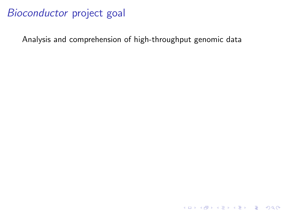Analysis and comprehension of high-throughput genomic data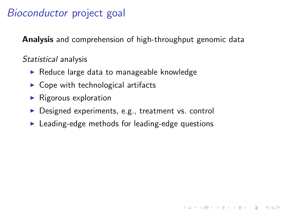Analysis and comprehension of high-throughput genomic data

Statistical analysis

- $\blacktriangleright$  Reduce large data to manageable knowledge
- $\triangleright$  Cope with technological artifacts
- $\blacktriangleright$  Rigorous exploration
- $\triangleright$  Designed experiments, e.g., treatment vs. control
- $\blacktriangleright$  Leading-edge methods for leading-edge questions

**KORKARA REPASA DA VOCA**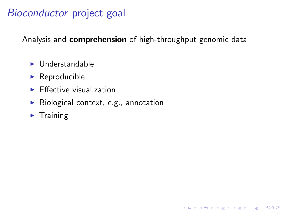Analysis and **comprehension** of high-throughput genomic data

**KORK ERKER ADAM ADA** 

- $\blacktriangleright$  Understandable
- $\blacktriangleright$  Reproducible
- $\blacktriangleright$  Effective visualization
- $\blacktriangleright$  Biological context, e.g., annotation
- $\blacktriangleright$  Training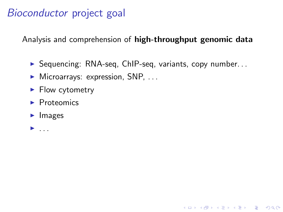Analysis and comprehension of high-throughput genomic data

 $\triangleright$  Sequencing: RNA-seq, ChIP-seq, variants, copy number...

K ロ ▶ K 個 ▶ K 할 ▶ K 할 ▶ 이 할 → 9 Q Q →

- $\blacktriangleright$  Microarrays: expression, SNP, ...
- $\blacktriangleright$  Flow cytometry
- $\blacktriangleright$  Proteomics
- $\blacktriangleright$  Images
- $\blacktriangleright$  ...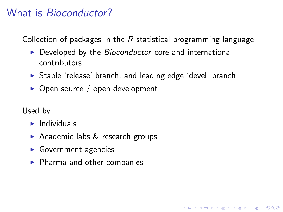### What is *Bioconductor*?

Collection of packages in the  $R$  statistical programming language

- $\triangleright$  Developed by the *Bioconductor* core and international contributors
- $\triangleright$  Stable 'release' branch, and leading edge 'devel' branch

**KORKARA REPASA DA VOCA** 

 $\triangleright$  Open source / open development

Used by. . .

- $\blacktriangleright$  Individuals
- Academic labs  $&$  research groups
- $\blacktriangleright$  Government agencies
- $\blacktriangleright$  Pharma and other companies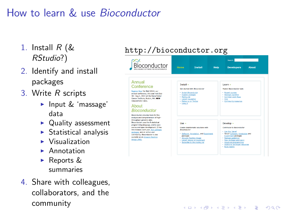## How to learn & use Bioconductor

- 1. Install  $R$  ( $\&$ RStudio?)
- 2. Identify and install packages
- 3. Write R scripts
	- $\blacktriangleright$  Input & 'massage' data
	- $\triangleright$  Quality assessment
	- $\triangleright$  Statistical analysis
	- $\triangleright$  Visualization
	- $\blacktriangleright$  Annotation
	- Reports  $&$ summaries
- 4. Share with colleagues, collaborators, and the community

#### <http://bioconductor.org>



**KORK ERKER ADAM ADA**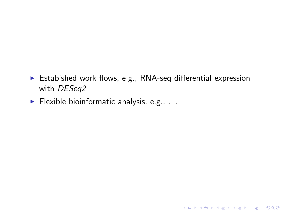$\triangleright$  Estabished work flows, e.g., RNA-seq differential expression with [DESeq2](http://bioconductor.org/packages/release/bioc/html/DESeq2.html)

KID KAR KE KE KE YA GA

 $\blacktriangleright$  Flexible bioinformatic analysis, e.g., ...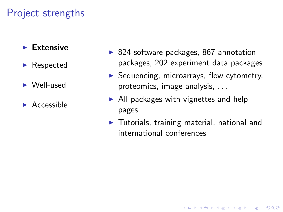#### $\blacktriangleright$  Extensive

- $\blacktriangleright$  Respected
- $\blacktriangleright$  Well-used
- $\blacktriangleright$  Accessible
- $\triangleright$  824 software packages, 867 annotation packages, 202 experiment data packages
- $\triangleright$  Sequencing, microarrays, flow cytometry, proteomics, image analysis, . . .
- $\blacktriangleright$  All packages with vignettes and help pages
- $\blacktriangleright$  Tutorials, training material, national and international conferences

**KOD KAD KED KED DRA**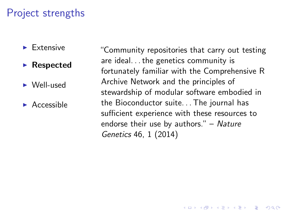- $\blacktriangleright$  Extensive
- $\blacktriangleright$  Respected
- $\triangleright$  Well-used
- $\blacktriangleright$  Accessible

"Community repositories that carry out testing are ideal. . . the genetics community is fortunately familiar with the Comprehensive R Archive Network and the principles of stewardship of modular software embodied in the Bioconductor suite. . . The journal has sufficient experience with these resources to endorse their use by authors."  $-$  Nature Genetics 46, 1 (2014)

**KORKARA REPASA DA VOCA**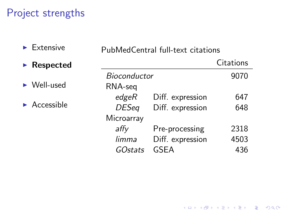$\blacktriangleright$  Extensive

| LALUIJIVU                        | PubMedCentral full-text citations |                  |           |
|----------------------------------|-----------------------------------|------------------|-----------|
| $\blacktriangleright$ Respected  |                                   |                  | Citations |
|                                  | <b>Bioconductor</b>               |                  | 9070      |
| $\triangleright$ Well-used       | RNA-seq                           |                  |           |
| $\blacktriangleright$ Accessible | edge                              | Diff. expression | 647       |
|                                  | <b>DESeq</b>                      | Diff. expression | 648       |
|                                  | Microarray                        |                  |           |
|                                  | affy                              | Pre-processing   | 2318      |
|                                  | limma                             | Diff. expression | 4503      |
|                                  | <i>GOstats</i>                    | GSEA             | 436       |

PubMedCentral full-text citations

**Kロトメ部トメミトメミト ミニのQC**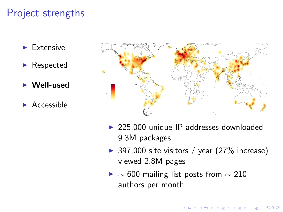- $\blacktriangleright$  Extensive
- $\blacktriangleright$  Respected
- $\blacktriangleright$  Well-used
- $\blacktriangleright$  Accessible



- $\geq$  225,000 unique IP addresses downloaded 9.3M packages
- ▶ 397,000 site visitors / year  $(27\%$  increase) viewed 2.8M pages

 $\mathbf{A} \equiv \mathbf{A} + \mathbf{A} + \mathbf{B} + \mathbf{A} + \mathbf{B} + \mathbf{A} + \mathbf{B} + \mathbf{A} + \mathbf{B} + \mathbf{A} + \mathbf{B} + \mathbf{A} + \mathbf{B} + \mathbf{A} + \mathbf{B} + \mathbf{A} + \mathbf{B} + \mathbf{A} + \mathbf{B} + \mathbf{A} + \mathbf{B} + \mathbf{A} + \mathbf{B} + \mathbf{A} + \mathbf{B} + \mathbf{A} + \mathbf{B} + \mathbf{A} + \mathbf{B} + \mathbf{A} + \math$ 

 $299$ 

 $\blacktriangleright \sim 600$  mailing list posts from  $\sim 210$ authors per month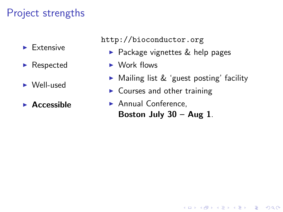- $\blacktriangleright$  Extensive
- $\blacktriangleright$  Respected
- $\blacktriangleright$  Well-used
- $\blacktriangleright$  Accessible

<http://bioconductor.org>

- $\blacktriangleright$  Package vignettes & help pages
- $\blacktriangleright$  Work flows
- $\triangleright$  Mailing list & 'guest posting' facility

**KORK EXTERNE PROVIDE** 

- $\triangleright$  Courses and other training
- $\blacktriangleright$  Annual Conference. Boston July  $30 - Aug 1$ .